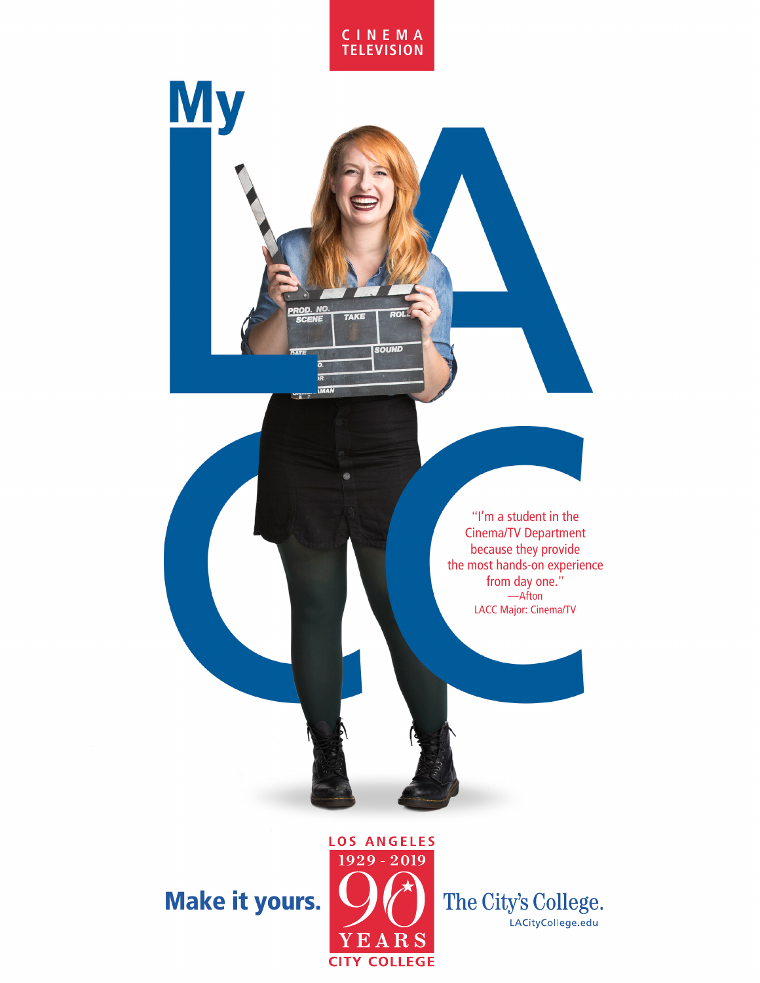



"I'm a student in the Cinema/TV Department because they provide the most hands-on experience from day one." —Afton LACC Major: Cinema/TV

Make it yours.



The City's College. LACityCollege.edu